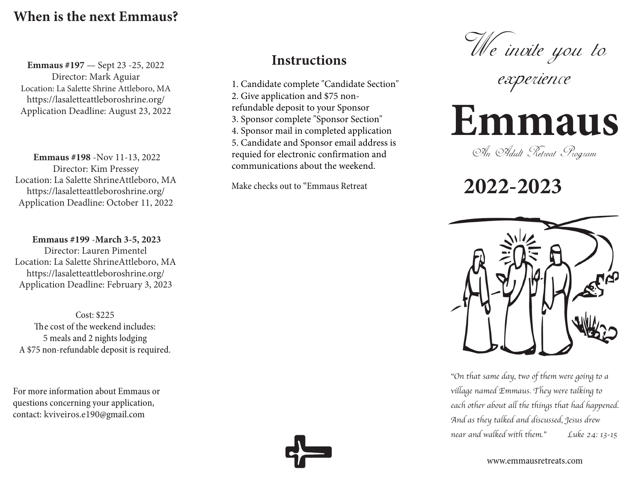## **When is the next Emmaus?**

**Emmaus #197** — Sept 23 -25, 2022 Director: Mark Aguiar Location: La Salette Shrine Attleboro, MA https://lasaletteattleboroshrine.org/ Application Deadline: August 23, 2022

**Emmaus #198** -Nov 11-13, 2022 Director: Kim Pressey Location: La Salette ShrineAttleboro, MA https://lasaletteattleboroshrine.org/ Application Deadline: October 11, 2022

**Emmaus #199** -**March 3-5, 2023** Director: Lauren Pimentel Location: La Salette ShrineAttleboro, MA https://lasaletteattleboroshrine.org/ Application Deadline: February 3, 2023

Cost: \$225 The cost of the weekend includes: 5 meals and 2 nights lodging A \$75 non-refundable deposit is required.

For more information about Emmaus or questions concerning your application, contact: kviveiros.e190@gmail.com

## **Instructions**

1. Candidate complete "Candidate Section" 2. Give application and \$75 nonrefundable deposit to your Sponsor 3. Sponsor complete "Sponsor Section" 4. Sponsor mail in completed application 5. Candidate and Sponsor email address is requied for electronic confirmation and communications about the weekend.

Make checks out to "Emmaus Retreat



experience

## **Emmaus**

An Adult Retreat Program

 **2022-2023**



"On that same day, two of them were going to a village named Emmaus. They were talking to each other about all the things that had happened. And as they talked and discussed, Jesus drew near and walked with them." Luke 24: 13-15

www.emmausretreats.com